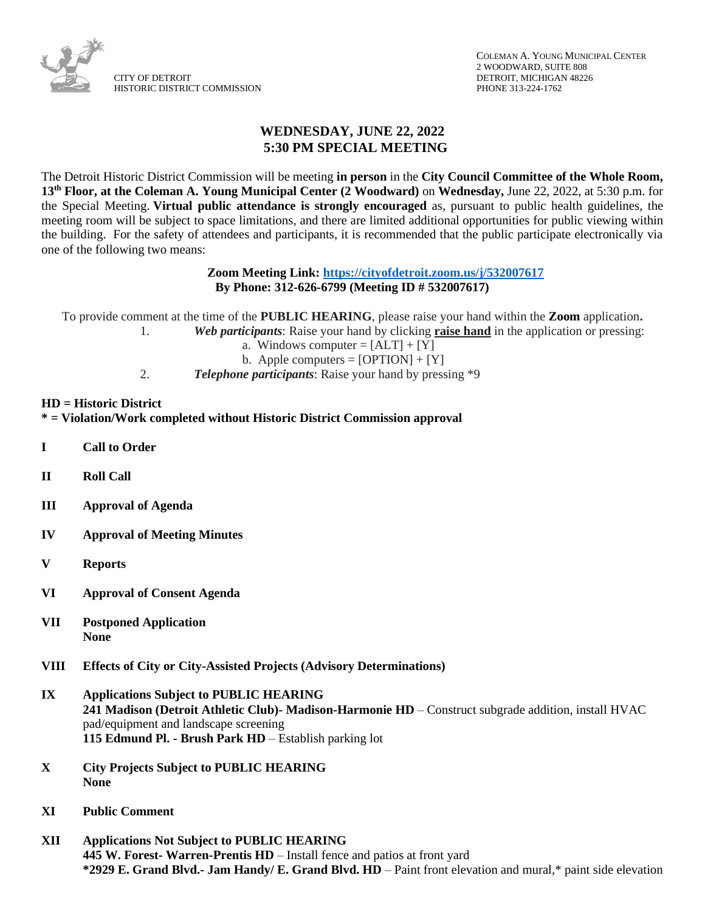

## **WEDNESDAY, JUNE 22, 2022 5:30 PM SPECIAL MEETING**

The Detroit Historic District Commission will be meeting **in person** in the **City Council Committee of the Whole Room, 13th Floor, at the Coleman A. Young Municipal Center (2 Woodward)** on **Wednesday,** June 22, 2022, at 5:30 p.m. for the Special Meeting. **Virtual public attendance is strongly encouraged** as, pursuant to public health guidelines, the meeting room will be subject to space limitations, and there are limited additional opportunities for public viewing within the building. For the safety of attendees and participants, it is recommended that the public participate electronically via one of the following two means:

## **Zoom Meeting Link:<https://cityofdetroit.zoom.us/j/532007617> By Phone: 312-626-6799 (Meeting ID # 532007617)**

To provide comment at the time of the **PUBLIC HEARING**, please raise your hand within the **Zoom** application**.**

- 1. *Web participants*: Raise your hand by clicking **raise hand** in the application or pressing:
	- a. Windows computer  $= [ALT] + [Y]$
	- b. Apple computers =  $[OPTION] + [Y]$
- 2. *Telephone participants*: Raise your hand by pressing \*9

## **HD = Historic District**

**\* = Violation/Work completed without Historic District Commission approval**

- **I Call to Order**
- **II Roll Call**
- **III Approval of Agenda**
- **IV Approval of Meeting Minutes**
- **V Reports**
- **VI Approval of Consent Agenda**
- **VII Postponed Application None**
- **VIII Effects of City or City-Assisted Projects (Advisory Determinations)**
- **IX Applications Subject to PUBLIC HEARING 241 Madison (Detroit Athletic Club)- Madison-Harmonie HD** – Construct subgrade addition, install HVAC pad/equipment and landscape screening **115 Edmund Pl. - Brush Park HD** – Establish parking lot
- **X City Projects Subject to PUBLIC HEARING None**
- **XI Public Comment**
- **XII Applications Not Subject to PUBLIC HEARING 445 W. Forest- Warren-Prentis HD** – Install fence and patios at front yard **\*2929 E. Grand Blvd.- Jam Handy/ E. Grand Blvd. HD** – Paint front elevation and mural,\* paint side elevation